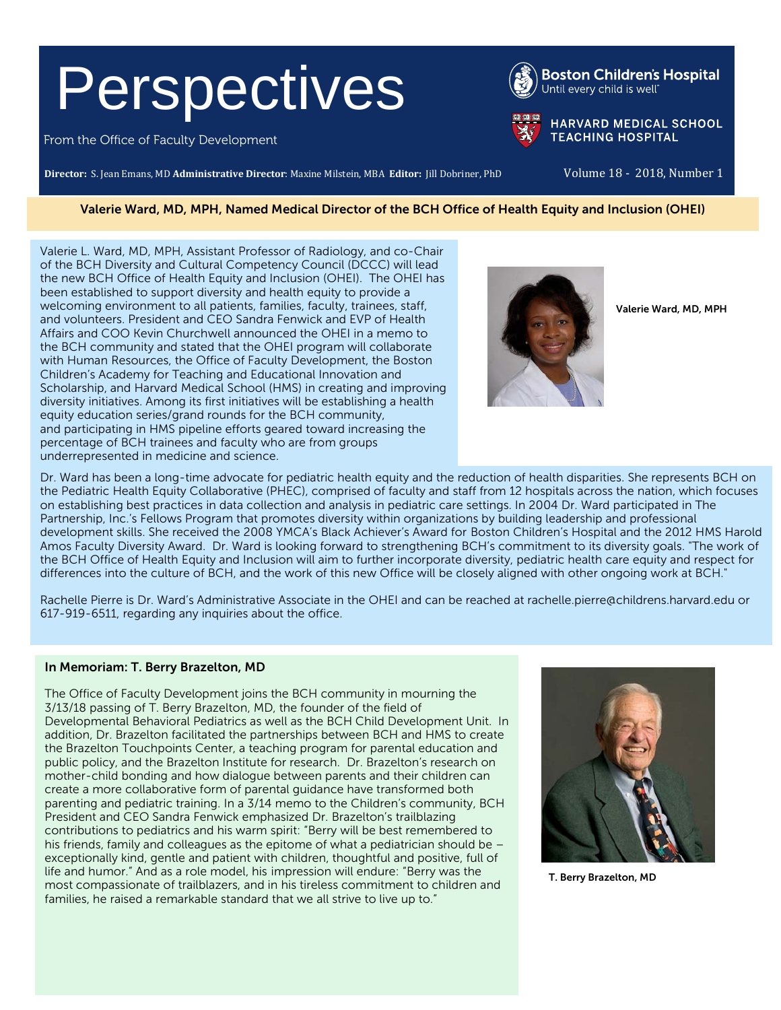# Perspectives

From the Office of Faculty Development

**Director:** S. Jean Emans, MD **Administrative Director**: Maxine Milstein, MBA **Editor:** Jill Dobriner, PhD Volume 18 - 2018, Number 1

**HARVARD MEDICAL SCHOOL TEACHING HOSPITAL** 

#### Valerie Ward, MD, MPH, Named Medical Director of the BCH Office of Health Equity and Inclusion (OHEI)

Valerie L. Ward, MD, MPH, Assistant Professor of Radiology, and co-Chair of the BCH Diversity and Cultural Competency Council (DCCC) will lead the new BCH Office of Health Equity and Inclusion (OHEI). The OHEI has been established to support diversity and health equity to provide a welcoming environment to all patients, families, faculty, trainees, staff, and volunteers. President and CEO Sandra Fenwick and EVP of Health Affairs and COO Kevin Churchwell announced the OHEI in a memo to the BCH community and stated that the OHEI program will collaborate with Human Resources, the Office of Faculty Development, the Boston Children's Academy for Teaching and Educational Innovation and Scholarship, and Harvard Medical School (HMS) in creating and improving diversity initiatives. Among its first initiatives will be establishing a health equity education series/grand rounds for the BCH community, and participating in HMS pipeline efforts geared toward increasing the percentage of BCH trainees and faculty who are from groups underrepresented in medicine and science.

Valerie Ward, MD, MPH

Dr. Ward has been a long-time advocate for pediatric health equity and the reduction of health disparities. She represents BCH on the Pediatric Health Equity Collaborative (PHEC), comprised of faculty and staff from 12 hospitals across the nation, which focuses on establishing best practices in data collection and analysis in pediatric care settings. In 2004 Dr. Ward participated in The Partnership, Inc.'s Fellows Program that promotes diversity within organizations by building leadership and professional development skills. She received the 2008 YMCA's Black Achiever's Award for Boston Children's Hospital and the 2012 HMS Harold Amos Faculty Diversity Award. Dr. Ward is looking forward to strengthening BCH's commitment to its diversity goals. "The work of the BCH Office of Health Equity and Inclusion will aim to further incorporate diversity, pediatric health care equity and respect for differences into the culture of BCH, and the work of this new Office will be closely aligned with other ongoing work at BCH."

Rachelle Pierre is Dr. Ward's Administrative Associate in the OHEI and can be reached at [rachelle.pierre@childrens.harvard.edu](mailto:rachelle.pierre@childrens.harvard.edu) or 617-919-6511, regarding any inquiries about the office.

#### In Memoriam: T. Berry Brazelton, MD

The Office of Faculty Development joins the BCH community in mourning the 3/13/18 passing of T. Berry Brazelton, MD, the founder of the field of Developmental Behavioral Pediatrics as well as the BCH Child Development Unit. In addition, Dr. Brazelton facilitated the partnerships between BCH and HMS to create the Brazelton Touchpoints Center, a teaching program for parental education and public policy, and the Brazelton Institute for research. Dr. Brazelton's research on mother-child bonding and how dialogue between parents and their children can create a more collaborative form of parental guidance have transformed both parenting and pediatric training. In a 3/14 memo to the Children's community, BCH President and CEO Sandra Fenwick emphasized Dr. Brazelton's trailblazing contributions to pediatrics and his warm spirit: "Berry will be best remembered to his friends, family and colleagues as the epitome of what a pediatrician should be – exceptionally kind, gentle and patient with children, thoughtful and positive, full of life and humor." And as a role model, his impression will endure: "Berry was the most compassionate of trailblazers, and in his tireless commitment to children and families, he raised a remarkable standard that we all strive to live up to."



T. Berry Brazelton, MD



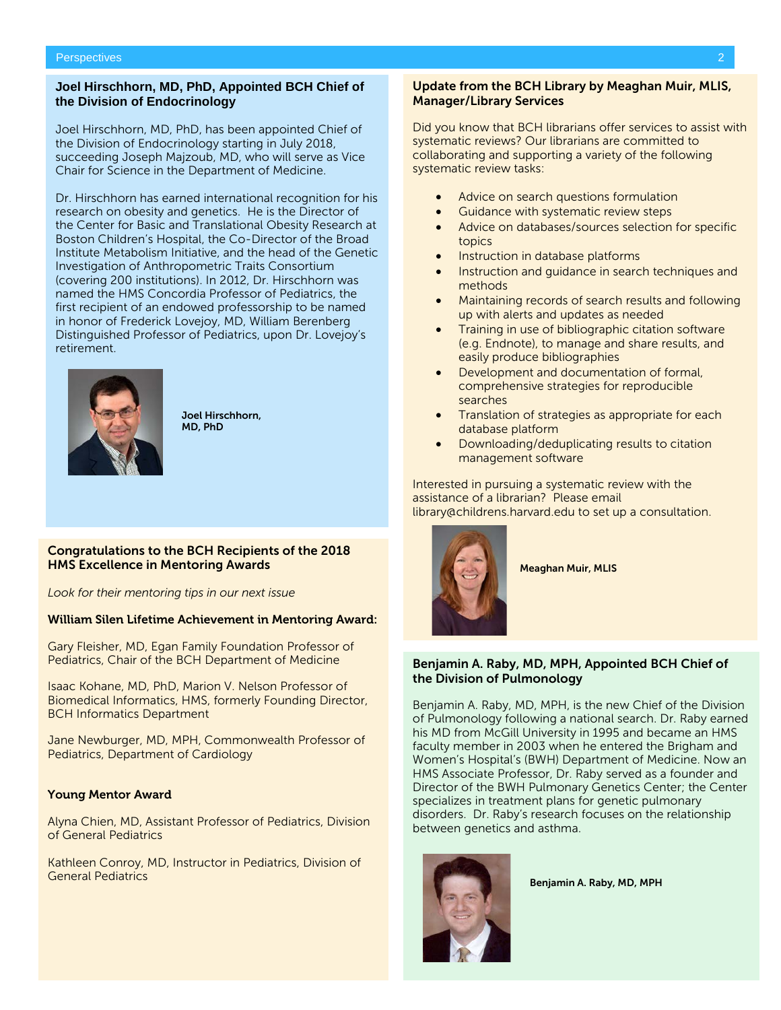#### **Joel Hirschhorn, MD, PhD, Appointed BCH Chief of the Division of Endocrinology**

Joel Hirschhorn, MD, PhD, has been appointed Chief of the Division of Endocrinology starting in July 2018, succeeding Joseph Majzoub, MD, who will serve as Vice Chair for Science in the Department of Medicine.

Dr. Hirschhorn has earned international recognition for his research on obesity and genetics. He is the Director of the Center for Basic and Translational Obesity Research at Boston Children's Hospital, the Co-Director of the Broad Institute Metabolism Initiative, and the head of the Genetic Investigation of Anthropometric Traits Consortium (covering 200 institutions). In 2012, Dr. Hirschhorn was named the HMS Concordia Professor of Pediatrics, the first recipient of an endowed professorship to be named in honor of Frederick Lovejoy, MD, William Berenberg Distinguished Professor of Pediatrics, upon Dr. Lovejoy's retirement.



Joel Hirschhorn, MD, PhD

#### Congratulations to the BCH Recipients of the 2018 HMS Excellence in Mentoring Awards

*Look for their mentoring tips in our next issue*

#### [William Silen Lifetime Achievement in Mentoring Award:](https://mfdp.med.harvard.edu/awards/excellence-mentoring-award/about-dr-william-silen-and-dr-clifford-barger)

Gary Fleisher, MD, Egan Family Foundation Professor of Pediatrics, Chair of the BCH Department of Medicine

Isaac Kohane, MD, PhD, Marion V. Nelson Professor of Biomedical Informatics, HMS, formerly Founding Director, BCH Informatics Department

Jane Newburger, MD, MPH, Commonwealth Professor of Pediatrics, Department of Cardiology

#### [Young Mentor Award](https://mfdp.med.harvard.edu/awards/excellence-mentoring-awards/about-dr-william-silen-and-dr-clifford-barger)

Alyna Chien, MD, Assistant Professor of Pediatrics, Division of General Pediatrics

Kathleen Conroy, MD, Instructor in Pediatrics, Division of General Pediatrics

#### Update from the BCH Library by Meaghan Muir, MLIS, Manager/Library Services

Did you know that BCH librarians offer services to assist with systematic reviews? Our librarians are committed to collaborating and supporting a variety of the following systematic review tasks:

- Advice on search questions formulation
- Guidance with systematic review steps
- Advice on databases/sources selection for specific topics
- Instruction in database platforms
- Instruction and guidance in search techniques and methods
- Maintaining records of search results and following up with alerts and updates as needed
- Training in use of bibliographic citation software (e.g. Endnote), to manage and share results, and easily produce bibliographies
- Development and documentation of formal, comprehensive strategies for reproducible searches
- Translation of strategies as appropriate for each database platform
- Downloading/deduplicating results to citation management software

Interested in pursuing a systematic review with the assistance of a librarian? Please email [library@childrens.harvard.edu](mailto:library@childrens.harvard.edu) to set up a consultation.



Meaghan Muir, MLIS

#### Benjamin A. Raby, MD, MPH, Appointed BCH Chief of the Division of Pulmonology

Benjamin A. Raby, MD, MPH, is the new Chief of the Division of Pulmonology following a national search. Dr. Raby earned his MD from McGill University in 1995 and became an HMS faculty member in 2003 when he entered the Brigham and Women's Hospital's (BWH) Department of Medicine. Now an HMS Associate Professor, Dr. Raby served as a founder and Director of the BWH Pulmonary Genetics Center; the Center specializes in treatment plans for genetic pulmonary disorders. Dr. Raby's research focuses on the relationship between genetics and asthma.



Benjamin A. Raby, MD, MPH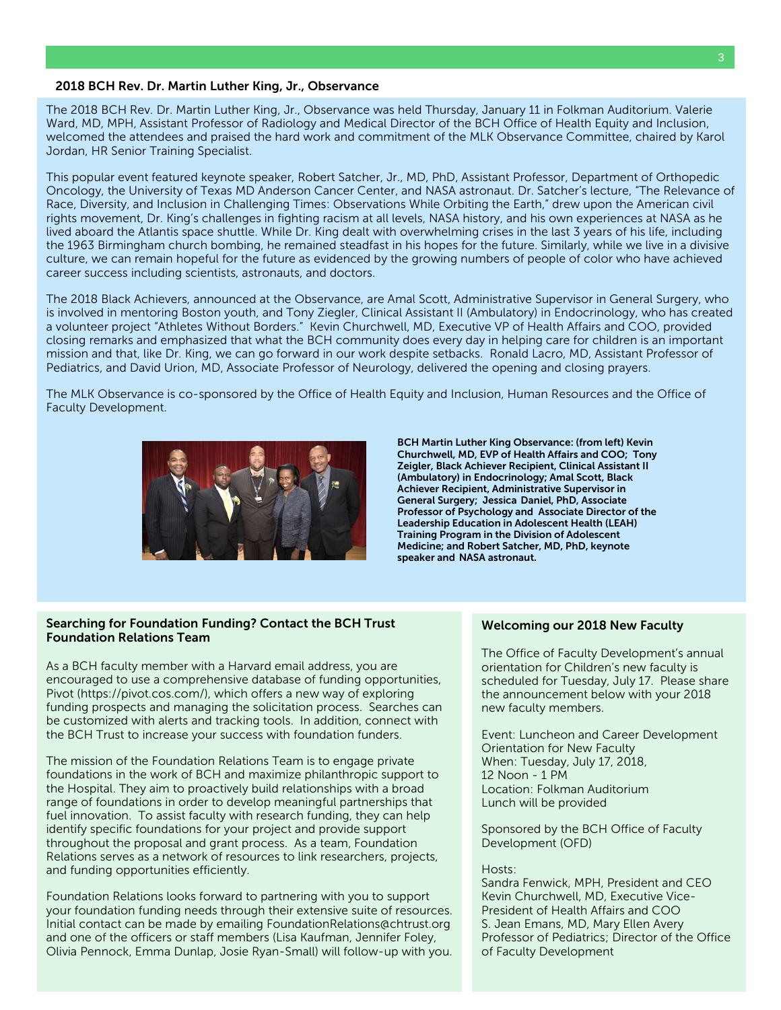#### 2018 BCH Rev. Dr. Martin Luther King, Jr., Observance

The 2018 BCH Rev. Dr. Martin Luther King, Jr., Observance was held Thursday, January 11 in Folkman Auditorium. Valerie Ward, MD, MPH, Assistant Professor of Radiology and Medical Director of the BCH Office of Health Equity and Inclusion, welcomed the attendees and praised the hard work and commitment of the MLK Observance Committee, chaired by Karol Jordan, HR Senior Training Specialist.

This popular event featured keynote speaker, Robert Satcher, Jr., MD, PhD, Assistant Professor, Department of Orthopedic Oncology, the University of Texas MD Anderson Cancer Center, and NASA astronaut. Dr. Satcher's lecture, "The Relevance of Race, Diversity, and Inclusion in Challenging Times: Observations While Orbiting the Earth," drew upon the American civil rights movement, Dr. King's challenges in fighting racism at all levels, NASA history, and his own experiences at NASA as he lived aboard the Atlantis space shuttle. While Dr. King dealt with overwhelming crises in the last 3 years of his life, including the 1963 Birmingham church bombing, he remained steadfast in his hopes for the future. Similarly, while we live in a divisive culture, we can remain hopeful for the future as evidenced by the growing numbers of people of color who have achieved career success including scientists, astronauts, and doctors.

The 2018 Black Achievers, announced at the Observance, are Amal Scott, Administrative Supervisor in General Surgery, who is involved in mentoring Boston youth, and Tony Ziegler, Clinical Assistant II (Ambulatory) in Endocrinology, who has created a volunteer project "Athletes Without Borders." Kevin Churchwell, MD, Executive VP of Health Affairs and COO, provided closing remarks and emphasized that what the BCH community does every day in helping care for children is an important mission and that, like Dr. King, we can go forward in our work despite setbacks. Ronald Lacro, MD, Assistant Professor of Pediatrics, and David Urion, MD, Associate Professor of Neurology, delivered the opening and closing prayers.

The MLK Observance is co-sponsored by the Office of Health Equity and Inclusion, Human Resources and the Office of Faculty Development.



BCH Martin Luther King Observance: (from left) Kevin Churchwell, MD, EVP of Health Affairs and COO; Tony Zeigler, Black Achiever Recipient, Clinical Assistant II (Ambulatory) in Endocrinology; Amal Scott, Black Achiever Recipient, Administrative Supervisor in General Surgery; Jessica Daniel, PhD, Associate Professor of Psychology and Associate Director of the Leadership Education in Adolescent Health (LEAH) Training Program in the Division of Adolescent Medicine; and Robert Satcher, MD, PhD, keynote speaker and NASA astronaut.

#### Searching for Foundation Funding? Contact the BCH Trust Foundation Relations Team

As a BCH faculty member with a Harvard email address, you are encouraged to use a comprehensive database of funding opportunities, Pivot [\(https://pivot.cos.com/\)](https://pivot.cos.com/), which offers a new way of exploring funding prospects and managing the solicitation process. Searches can be customized with alerts and tracking tools. In addition, connect with the BCH Trust to increase your success with foundation funders.

The mission of the Foundation Relations Team is to engage private foundations in the work of BCH and maximize philanthropic support to the Hospital. They aim to proactively build relationships with a broad range of foundations in order to develop meaningful partnerships that fuel innovation. To assist faculty with research funding, they can help identify specific foundations for your project and provide support throughout the proposal and grant process. As a team, Foundation Relations serves as a network of resources to link researchers, projects, and funding opportunities efficiently.

Foundation Relations looks forward to partnering with you to support your foundation funding needs through their extensive suite of resources. Initial contact can be made by emailing [FoundationRelations@chtrust.org](mailto:FoundationRelations@chtrust.org) and one of the officers or staff members (Lisa Kaufman, Jennifer Foley, Olivia Pennock, Emma Dunlap, Josie Ryan-Small) will follow-up with you.

#### Welcoming our 2018 New Faculty

The Office of Faculty Development's annual orientation for Children's new faculty is scheduled for Tuesday, July 17. Please share the announcement below with your 2018 new faculty members.

Event: Luncheon and Career Development Orientation for New Faculty When: Tuesday, July 17, 2018, 12 Noon - 1 PM Location: Folkman Auditorium Lunch will be provided

Sponsored by the BCH Office of Faculty Development (OFD)

#### Hosts:

Sandra Fenwick, MPH, President and CEO Kevin Churchwell, MD, Executive Vice-President of Health Affairs and COO S. Jean Emans, MD, Mary Ellen Avery Professor of Pediatrics; Director of the Office of Faculty Development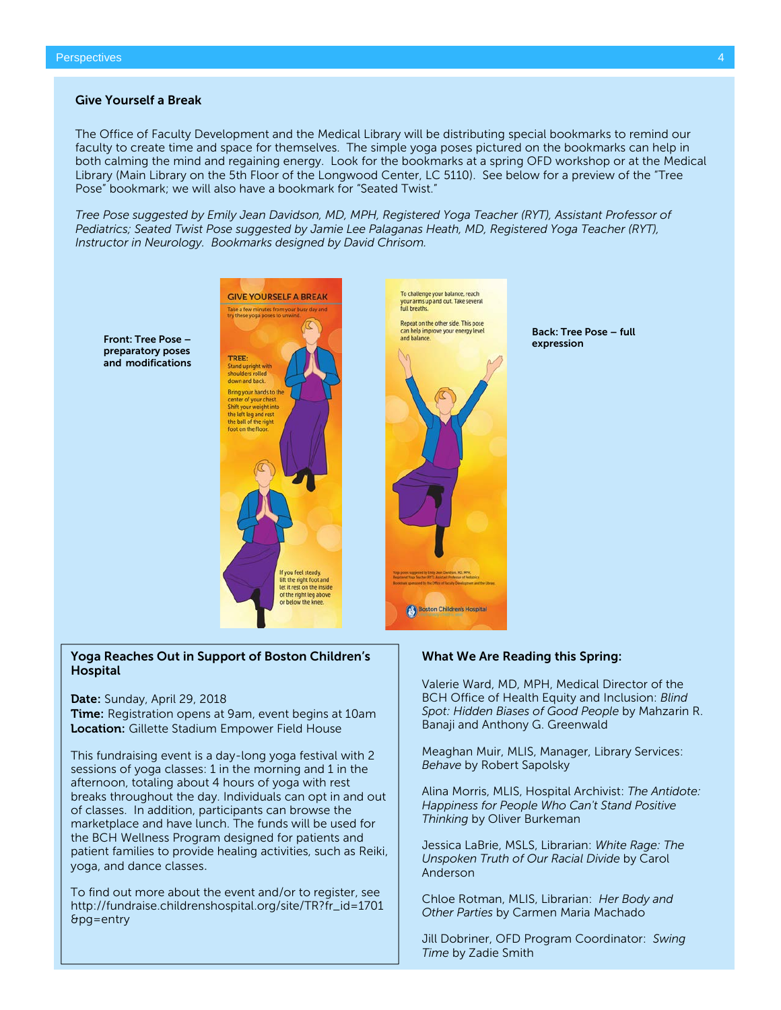#### Give Yourself a Break

The Office of Faculty Development and the Medical Library will be distributing special bookmarks to remind our faculty to create time and space for themselves. The simple yoga poses pictured on the bookmarks can help in both calming the mind and regaining energy. Look for the bookmarks at a spring OFD workshop or at the Medical Library (Main Library on the 5th Floor of the Longwood Center, LC 5110). See below for a preview of the "Tree Pose" bookmark; we will also have a bookmark for "Seated Twist."

*Tree Pose suggested by Emily Jean Davidson, MD, MPH, Registered Yoga Teacher (RYT), Assistant Professor of Pediatrics; Seated Twist Pose suggested by Jamie Lee Palaganas Heath, MD, Registered Yoga Teacher (RYT), Instructor in Neurology. Bookmarks designed by David Chrisom.*

preparatory poses and modifications



#### Yoga Reaches Out in Support of Boston Children's Hospital

Date: Sunday, April 29, 2018

Time: Registration opens at 9am, event begins at 10am **Location:** Gillette Stadium Empower Field House

This fundraising event is a day-long yoga festival with 2 sessions of yoga classes: 1 in the morning and 1 in the afternoon, totaling about 4 hours of yoga with rest breaks throughout the day. Individuals can opt in and out of classes. In addition, participants can browse the marketplace and have lunch. The funds will be used for the BCH Wellness Program designed for patients and patient families to provide healing activities, such as Reiki, yoga, and dance classes.

To find out more about the event and/or to register, see [http://fundraise.childrenshospital.org/site/TR?fr\\_id=1701](http://fundraise.childrenshospital.org/site/TR?fr_id=1701&pg=entry) [&pg=entry](http://fundraise.childrenshospital.org/site/TR?fr_id=1701&pg=entry)



What We Are Reading this Spring:

Valerie Ward, MD, MPH, Medical Director of the BCH Office of Health Equity and Inclusion: *Blind Spot: Hidden Biases of Good People* by Mahzarin R. Banaji and Anthony G. Greenwald

Back: Tree Pose – full

Meaghan Muir, MLIS, Manager, Library Services: *Behave* by Robert Sapolsky

Alina Morris, MLIS, Hospital Archivist: *The Antidote: Happiness for People Who Can't Stand Positive Thinking* by Oliver Burkeman

Jessica LaBrie, MSLS, Librarian: *White Rage: The Unspoken Truth of Our Racial Divide* by Carol Anderson

Chloe Rotman, MLIS, Librarian: *Her Body and Other Parties* by Carmen Maria Machado

Jill Dobriner, OFD Program Coordinator: *Swing Time* by Zadie Smith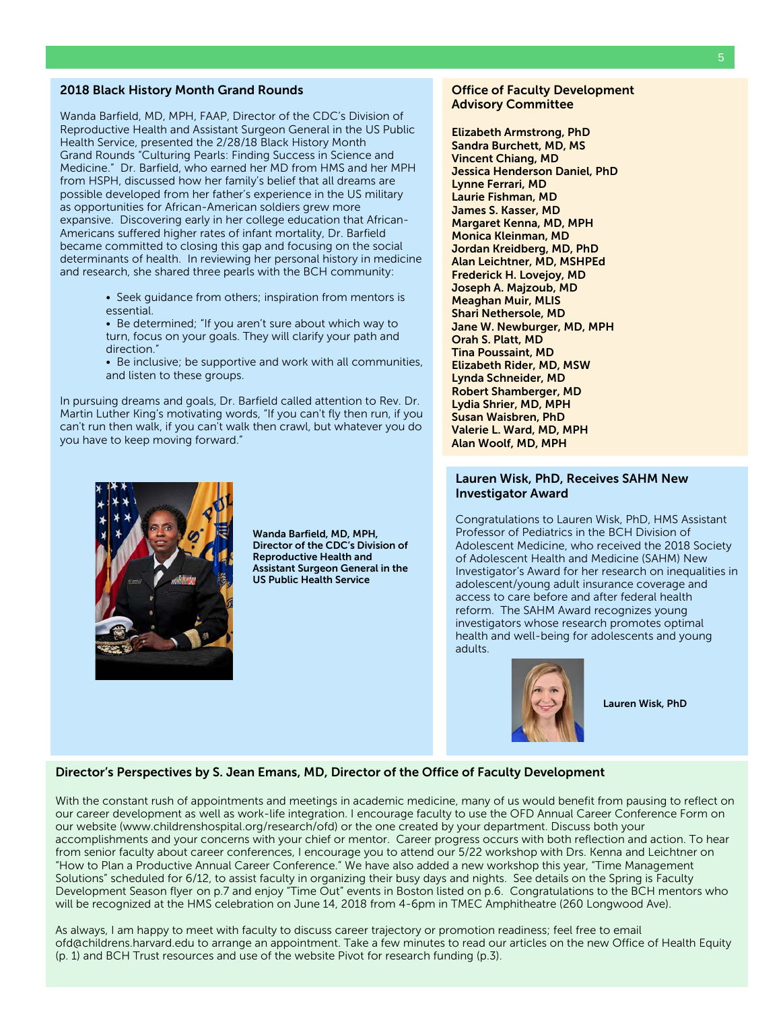#### 2018 Black History Month Grand Rounds

Wanda Barfield, MD, MPH, FAAP, Director of the CDC's Division of Reproductive Health and Assistant Surgeon General in the US Public Health Service, presented the 2/28/18 Black History Month Grand Rounds "Culturing Pearls: Finding Success in Science and Medicine." Dr. Barfield, who earned her MD from HMS and her MPH from HSPH, discussed how her family's belief that all dreams are possible developed from her father's experience in the US military as opportunities for African-American soldiers grew more expansive. Discovering early in her college education that African-Americans suffered higher rates of infant mortality, Dr. Barfield became committed to closing this gap and focusing on the social determinants of health. In reviewing her personal history in medicine and research, she shared three pearls with the BCH community:

- Seek guidance from others; inspiration from mentors is essential.
- Be determined; "If you aren't sure about which way to turn, focus on your goals. They will clarify your path and direction."
- Be inclusive; be supportive and work with all communities, and listen to these groups.

In pursuing dreams and goals, Dr. Barfield called attention to Rev. Dr. Martin Luther King's motivating words, "If you can't fly then run, if you can't run then walk, if you can't walk then crawl, but whatever you do you have to keep moving forward."



Wanda Barfield, MD, MPH, Director of the CDC's Division of Reproductive Health and Assistant Surgeon General in the US Public Health Service

#### Office of Faculty Development Advisory Committee

Elizabeth Armstrong, PhD Sandra Burchett, MD, MS Vincent Chiang, MD Jessica Henderson Daniel, PhD Lynne Ferrari, MD Laurie Fishman, MD James S. Kasser, MD Margaret Kenna, MD, MPH Monica Kleinman, MD Jordan Kreidberg, MD, PhD Alan Leichtner, MD, MSHPEd Frederick H. Lovejoy, MD Joseph A. Majzoub, MD Meaghan Muir, MLIS Shari Nethersole, MD Jane W. Newburger, MD, MPH Orah S. Platt, MD Tina Poussaint, MD Elizabeth Rider, MD, MSW Lynda Schneider, MD Robert Shamberger, MD Lydia Shrier, MD, MPH Susan Waisbren, PhD Valerie L. Ward, MD, MPH Alan Woolf, MD, MPH

#### Lauren Wisk, PhD, Receives SAHM New Investigator Award

Congratulations to Lauren Wisk, PhD, HMS Assistant Professor of Pediatrics in the BCH Division of Adolescent Medicine, who received the [2018 Society](http://www.adolescenthealth.org/Meetings/2018-Annual-Meeting/2018-Awards.aspx)  [of Adolescent Health and Medicine \(SAHM\) New](http://www.adolescenthealth.org/Meetings/2018-Annual-Meeting/2018-Awards.aspx)  [Investigator's Award](http://www.adolescenthealth.org/Meetings/2018-Annual-Meeting/2018-Awards.aspx) for her research on inequalities in adolescent/young adult insurance coverage and access to care before and after federal health reform. The SAHM Award recognizes young investigators whose research promotes optimal health and well-being for adolescents and young adults.



Lauren Wisk, PhD

#### Director's Perspectives by S. Jean Emans, MD, Director of the Office of Faculty Development

With the constant rush of appointments and meetings in academic medicine, many of us would benefit from pausing to reflect on our career development as well as work-life integration. I encourage faculty to use the OFD Annual Career Conference Form on our website [\(www.childrenshospital.org/research/ofd\)](http://www.childrenshospital.org/research/ofd) or the one created by your department. Discuss both your accomplishments and your concerns with your chief or mentor. Career progress occurs with both reflection and action. To hear from senior faculty about career conferences, I encourage you to attend our 5/22 workshop with Drs. Kenna and Leichtner on "How to Plan a Productive Annual Career Conference." We have also added a new workshop this year, "Time Management Solutions" scheduled for 6/12, to assist faculty in organizing their busy days and nights. See details on the Spring is Faculty Development Season flyer on p.7 and enjoy "Time Out" events in Boston listed on p.6. Congratulations to the BCH mentors who will be recognized at the HMS celebration on June 14, 2018 from 4-6pm in TMEC Amphitheatre (260 Longwood Ave).

As always, I am happy to meet with faculty to discuss career trajectory or promotion readiness; feel free to email [ofd@childrens.harvard.edu](mailto:ofd@childrens.harvard.edu) to arrange an appointment. Take a few minutes to read our articles on the new Office of Health Equity (p. 1) and BCH Trust resources and use of the website Pivot for research funding (p.3).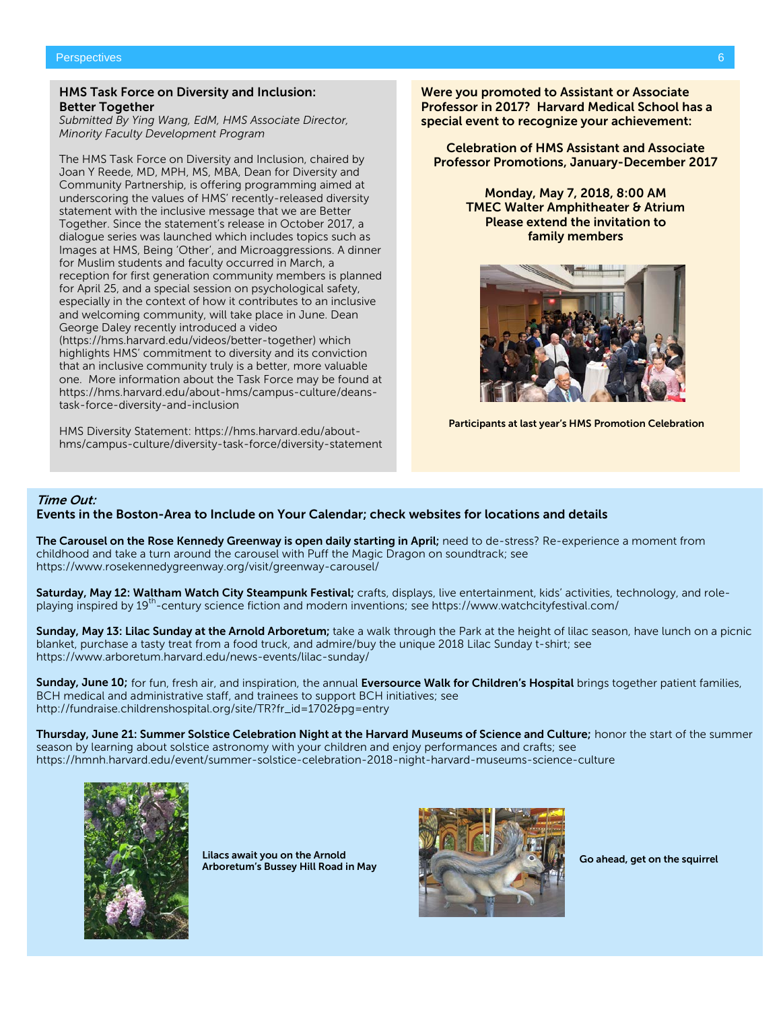#### HMS Task Force on Diversity and Inclusion: Better Together

*Submitted By Ying Wang, EdM, HMS Associate Director, Minority Faculty Development Program*

The HMS Task Force on Diversity and Inclusion, chaired by Joan Y Reede, MD, MPH, MS, MBA, Dean for Diversity and Community Partnership, is offering programming aimed at underscoring the values of HMS' recently-released diversity statement with the inclusive message that we are Better Together. Since the statement's release in October 2017, a dialogue series was launched which includes topics such as Images at HMS, Being 'Other', and Microaggressions. A dinner for Muslim students and faculty occurred in March, a reception for first generation community members is planned for April 25, and a special session on psychological safety, especially in the context of how it contributes to an inclusive and welcoming community, will take place in June. Dean George Daley recently introduced a video [\(https://hms.harvard.edu/videos/better-together\)](https://hms.harvard.edu/videos/better-together) which highlights HMS' commitment to diversity and its conviction that an inclusive community truly is a better, more valuable one. More information about the Task Force may be found at [https://hms.harvard.edu/about-hms/campus-culture/deans](https://hms.harvard.edu/about-hms/campus-culture/deans-task-force-diversity-and-inclusion)[task-force-diversity-and-inclusion](https://hms.harvard.edu/about-hms/campus-culture/deans-task-force-diversity-and-inclusion)

HMS Diversity Statement[: https://hms.harvard.edu/about](https://hms.harvard.edu/about-hms/campus-culture/diversity-task-force/diversity-statement)[hms/campus-culture/diversity-task-force/diversity-statement](https://hms.harvard.edu/about-hms/campus-culture/diversity-task-force/diversity-statement) Were you promoted to Assistant or Associate Professor in 2017? Harvard Medical School has a special event to recognize your achievement:

Celebration of HMS Assistant and Associate Professor Promotions, January-December 2017

> Monday, May 7, 2018, 8:00 AM TMEC Walter Amphitheater & Atrium Please extend the invitation to family members



Participants at last year's HMS Promotion Celebration

#### Time Out:

#### Events in the Boston-Area to Include on Your Calendar; check websites for locations and details

The Carousel on the Rose Kennedy Greenway is open daily starting in April; need to de-stress? Re-experience a moment from childhood and take a turn around the carousel with Puff the Magic Dragon on soundtrack; see https://www.rosekennedygreenway.org/visit/greenway-carousel/

Saturday, May 12: Waltham Watch City Steampunk Festival; crafts, displays, live entertainment, kids' activities, technology, and roleplaying inspired by 19th-century science fiction and modern inventions; se[e https://www.watchcityfestival.com/](https://www.watchcityfestival.com/)

Sunday, May 13: Lilac Sunday at the Arnold Arboretum; take a walk through the Park at the height of lilac season, have lunch on a picnic blanket, purchase a tasty treat from a food truck, and admire/buy the unique 2018 Lilac Sunday t-shirt; see <https://www.arboretum.harvard.edu/news-events/lilac-sunday/>

Sunday, June 10; for fun, fresh air, and inspiration, the annual Eversource Walk for Children's Hospital brings together patient families, BCH medical and administrative staff, and trainees to support BCH initiatives; see [http://fundraise.childrenshospital.org/site/TR?fr\\_id=1702&pg=entry](http://fundraise.childrenshospital.org/site/TR?fr_id=1702&pg=entry)

Thursday, June 21: Summer Solstice Celebration Night at the Harvard Museums of Science and Culture; honor the start of the summer season by learning about solstice astronomy with your children and enjoy performances and crafts; see <https://hmnh.harvard.edu/event/summer-solstice-celebration-2018-night-harvard-museums-science-culture>



Lilacs await you on the Arnold Lilacs await you on the Arnold<br>Arboretum's Bussey Hill Road in May Go ahead, get on the squirrel

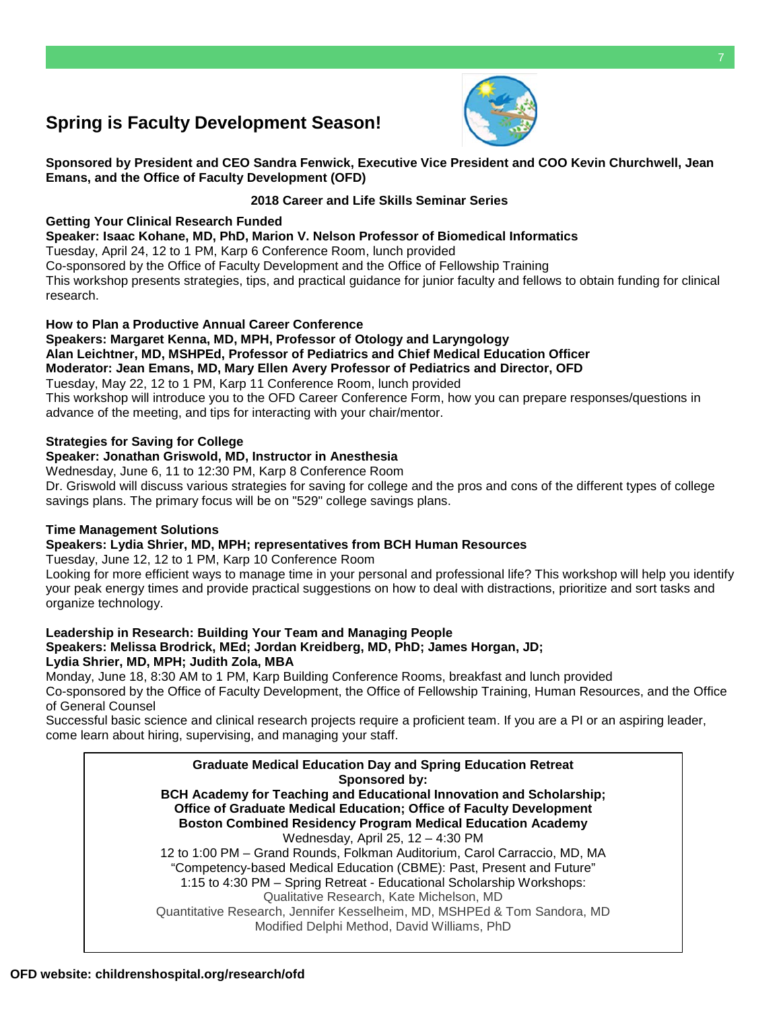# **Spring is Faculty Development Season!**



**Sponsored by President and CEO Sandra Fenwick, Executive Vice President and COO Kevin Churchwell, Jean Emans, and the Office of Faculty Development (OFD)**

#### **2018 Career and Life Skills Seminar Series**

#### **Getting Your Clinical Research Funded**

**Speaker: Isaac Kohane, MD, PhD, Marion V. Nelson Profe[ssor of Biomedical Informatic](mailto:OFD@childrens.harvard.edu)s**

Tuesday, April 24, 12 to 1 PM, Karp 6 Conference Room, lunch provided

Co-sponsored by the Office of Faculty Development and the Office of Fellowship Training This workshop presents strategies, tips, and practical guidance for junior faculty and fellows to obtain funding for clinical research.

#### **How to Plan a Productive Annual Career Conference**

**Speakers: Margaret Kenna, MD, MPH, Professor of Otology and Laryngology Alan Leichtner, MD, MSHPEd, Professor of Pediatrics and Chief Medical Education Officer Moderator: Jean Emans, MD, Mary Ellen Avery Professor of Pediatrics and Director, OFD** Tuesday, May 22, 12 to 1 PM, Karp 11 Conference Room, lunch provided This workshop will introduce you to the OFD Career Conference Form, how you can prepare responses/questions in advance of the meeting, and tips for interacting with your chair/mentor.

#### **Strategies for Saving for College**

#### **Speaker: Jonathan Griswold, MD, Instructor in Anesthesia**

Wednesday, June 6, 11 to 12:30 PM, Karp 8 Conference Room Dr. Griswold will discuss various strategies for saving for college and the pros and cons of the different types of college savings plans. The primary focus will be on "529" college savings plans.

#### **Time Management Solutions**

### **Speakers: Lydia Shrier, MD, MPH; representatives from BCH Human Resources**

Tuesday, June 12, 12 to 1 PM, Karp 10 Conference Room

Looking for more efficient ways to manage time in your personal and professional life? This workshop will help you identify your peak energy times and provide practical suggestions on how to deal with distractions, prioritize and sort tasks and organize technology.

#### **Leadership in Research: Building Your Team and Managing People Speakers: Melissa Brodrick, MEd; Jordan Kreidberg, MD, PhD; James Horgan, JD; Lydia Shrier, MD, MPH; Judith Zola, MBA**

Monday, June 18, 8:30 AM to 1 PM, Karp Building Conference Rooms, breakfast and lunch provided Co-sponsored by the Office of Faculty Development, the Office of Fellowship Training, Human Resources, and the Office of General Counsel

Successful basic science and clinical research projects require a proficient team. If you are a PI or an aspiring leader, come learn about hiring, supervising, and managing your staff.

**Graduate Medical Education Day and Spring Education Retreat Sponsored by: BCH Academy for Teaching and Educational Innovation and Scholarship; Office of Graduate Medical Education; Office of Faculty Development Boston Combined Residency Program Medical Education Academy** Wednesday, April 25, 12 – 4:30 PM 12 to 1:00 PM – Grand Rounds, Folkman Auditorium, Carol Carraccio, MD, MA "Competency-based Medical Education (CBME): Past, Present and Future" 1:15 to 4:30 PM – Spring Retreat - Educational Scholarship Workshops: Qualitative Research, Kate Michelson, MD Quantitative Research, Jennifer Kesselheim, MD, MSHPEd & Tom Sandora, MD Modified Delphi Method, David Williams, PhD